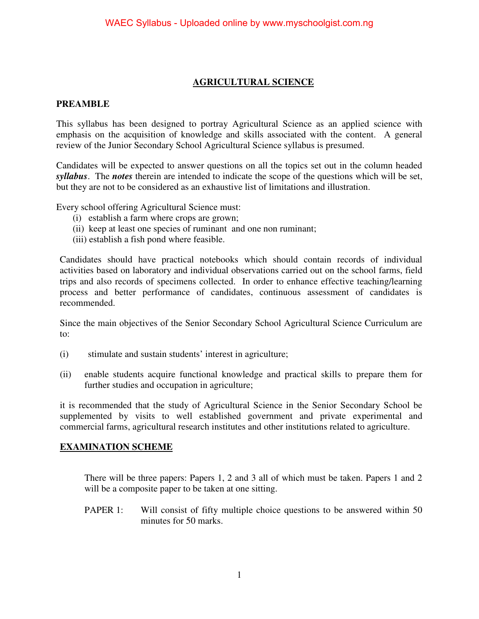#### **AGRICULTURAL SCIENCE**

#### **PREAMBLE**

This syllabus has been designed to portray Agricultural Science as an applied science with emphasis on the acquisition of knowledge and skills associated with the content. A general review of the Junior Secondary School Agricultural Science syllabus is presumed.

Candidates will be expected to answer questions on all the topics set out in the column headed *syllabus*. The *notes* therein are intended to indicate the scope of the questions which will be set, but they are not to be considered as an exhaustive list of limitations and illustration.

Every school offering Agricultural Science must:

- (i) establish a farm where crops are grown;
- (ii) keep at least one species of ruminant and one non ruminant;
- (iii) establish a fish pond where feasible.

Candidates should have practical notebooks which should contain records of individual activities based on laboratory and individual observations carried out on the school farms, field trips and also records of specimens collected. In order to enhance effective teaching/learning process and better performance of candidates, continuous assessment of candidates is recommended.

Since the main objectives of the Senior Secondary School Agricultural Science Curriculum are to:

- (i) stimulate and sustain students' interest in agriculture;
- (ii) enable students acquire functional knowledge and practical skills to prepare them for further studies and occupation in agriculture;

it is recommended that the study of Agricultural Science in the Senior Secondary School be supplemented by visits to well established government and private experimental and commercial farms, agricultural research institutes and other institutions related to agriculture.

#### **EXAMINATION SCHEME**

There will be three papers: Papers 1, 2 and 3 all of which must be taken. Papers 1 and 2 will be a composite paper to be taken at one sitting.

PAPER 1: Will consist of fifty multiple choice questions to be answered within 50 minutes for 50 marks.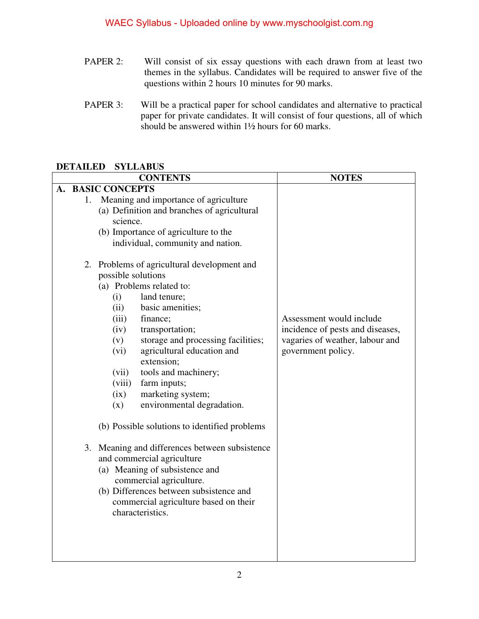- PAPER 2: Will consist of six essay questions with each drawn from at least two themes in the syllabus. Candidates will be required to answer five of the questions within 2 hours 10 minutes for 90 marks.
- PAPER 3: Will be a practical paper for school candidates and alternative to practical paper for private candidates. It will consist of four questions, all of which should be answered within 1½ hours for 60 marks.

#### **DETAILED SYLLABUS**

|    | <b>CONTENTS</b> |                                                                                                                                                                                                                                                                                                                                                                                                                                                                                                                                                                            | <b>NOTES</b>                                                                                                          |
|----|-----------------|----------------------------------------------------------------------------------------------------------------------------------------------------------------------------------------------------------------------------------------------------------------------------------------------------------------------------------------------------------------------------------------------------------------------------------------------------------------------------------------------------------------------------------------------------------------------------|-----------------------------------------------------------------------------------------------------------------------|
| А. |                 | <b>BASIC CONCEPTS</b>                                                                                                                                                                                                                                                                                                                                                                                                                                                                                                                                                      |                                                                                                                       |
|    | 1.              | Meaning and importance of agriculture<br>(a) Definition and branches of agricultural<br>science.<br>(b) Importance of agriculture to the<br>individual, community and nation.<br>2. Problems of agricultural development and<br>possible solutions<br>(a) Problems related to:<br>land tenure;<br>(i)<br>(ii)<br>basic amenities;<br>(iii)<br>finance;<br>(iv)<br>transportation;<br>storage and processing facilities;<br>(v)<br>agricultural education and<br>(vi)<br>extension;<br>tools and machinery;<br>(vii)<br>(viii)<br>farm inputs;<br>marketing system;<br>(ix) | Assessment would include<br>incidence of pests and diseases,<br>vagaries of weather, labour and<br>government policy. |
|    |                 | environmental degradation.<br>(x)<br>(b) Possible solutions to identified problems<br>3. Meaning and differences between subsistence<br>and commercial agriculture<br>(a) Meaning of subsistence and<br>commercial agriculture.<br>(b) Differences between subsistence and<br>commercial agriculture based on their<br>characteristics.                                                                                                                                                                                                                                    |                                                                                                                       |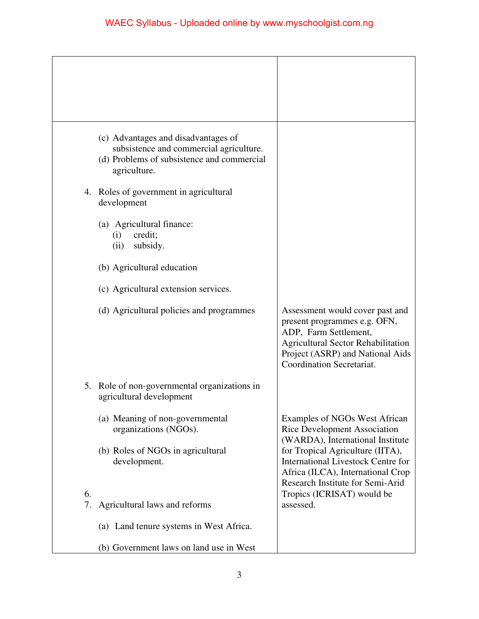|          | (c) Advantages and disadvantages of<br>subsistence and commercial agriculture.<br>(d) Problems of subsistence and commercial<br>agriculture. |                                                                                                                                                                                                        |
|----------|----------------------------------------------------------------------------------------------------------------------------------------------|--------------------------------------------------------------------------------------------------------------------------------------------------------------------------------------------------------|
|          | 4. Roles of government in agricultural<br>development                                                                                        |                                                                                                                                                                                                        |
|          | (a) Agricultural finance:<br>credit;<br>(i)<br>subsidy.<br>(ii)                                                                              |                                                                                                                                                                                                        |
|          | (b) Agricultural education                                                                                                                   |                                                                                                                                                                                                        |
|          | (c) Agricultural extension services.                                                                                                         |                                                                                                                                                                                                        |
|          | (d) Agricultural policies and programmes                                                                                                     | Assessment would cover past and<br>present programmes e.g. OFN,<br>ADP, Farm Settlement,<br><b>Agricultural Sector Rehabilitation</b><br>Project (ASRP) and National Aids<br>Coordination Secretariat. |
|          | 5. Role of non-governmental organizations in<br>agricultural development                                                                     |                                                                                                                                                                                                        |
|          | (a) Meaning of non-governmental<br>organizations (NGOs).                                                                                     | Examples of NGOs West African<br><b>Rice Development Association</b><br>(WARDA), International Institute                                                                                               |
|          | (b) Roles of NGOs in agricultural<br>development.                                                                                            | for Tropical Agriculture (IITA),<br><b>International Livestock Centre for</b><br>Africa (ILCA), International Crop<br>Research Institute for Semi-Arid                                                 |
| 6.<br>7. | Agricultural laws and reforms                                                                                                                | Tropics (ICRISAT) would be<br>assessed.                                                                                                                                                                |
|          | (a) Land tenure systems in West Africa.                                                                                                      |                                                                                                                                                                                                        |
|          | (b) Government laws on land use in West                                                                                                      |                                                                                                                                                                                                        |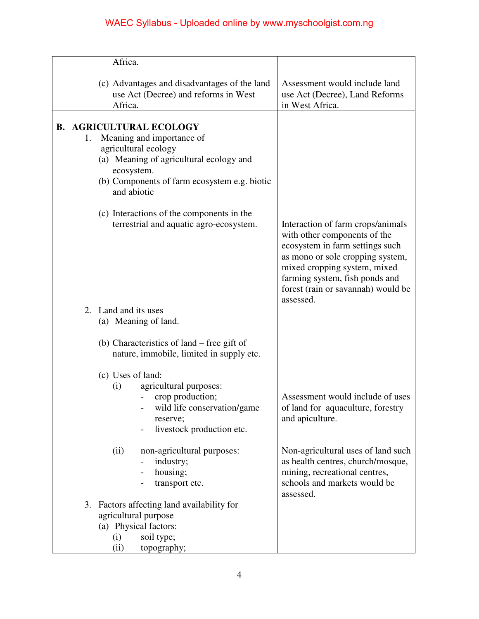| Africa.                         |                                                                                                                                                                                |                                                                                                                                                                                                                                                               |
|---------------------------------|--------------------------------------------------------------------------------------------------------------------------------------------------------------------------------|---------------------------------------------------------------------------------------------------------------------------------------------------------------------------------------------------------------------------------------------------------------|
| Africa.                         | (c) Advantages and disadvantages of the land<br>use Act (Decree) and reforms in West                                                                                           | Assessment would include land<br>use Act (Decree), Land Reforms<br>in West Africa.                                                                                                                                                                            |
| 1.<br>ecosystem.<br>and abiotic | <b>B. AGRICULTURAL ECOLOGY</b><br>Meaning and importance of<br>agricultural ecology<br>(a) Meaning of agricultural ecology and<br>(b) Components of farm ecosystem e.g. biotic |                                                                                                                                                                                                                                                               |
|                                 | (c) Interactions of the components in the<br>terrestrial and aquatic agro-ecosystem.                                                                                           | Interaction of farm crops/animals<br>with other components of the<br>ecosystem in farm settings such<br>as mono or sole cropping system,<br>mixed cropping system, mixed<br>farming system, fish ponds and<br>forest (rain or savannah) would be<br>assessed. |
| 2. Land and its uses            | (a) Meaning of land.                                                                                                                                                           |                                                                                                                                                                                                                                                               |
|                                 | (b) Characteristics of land – free gift of<br>nature, immobile, limited in supply etc.                                                                                         |                                                                                                                                                                                                                                                               |
| (c) Uses of land:<br>(i)        | agricultural purposes:<br>crop production;<br>wild life conservation/game<br>reserve;<br>livestock production etc.                                                             | Assessment would include of uses<br>of land for aquaculture, forestry<br>and apiculture.                                                                                                                                                                      |
| (ii)                            | non-agricultural purposes:<br>industry;<br>housing;<br>transport etc.                                                                                                          | Non-agricultural uses of land such<br>as health centres, church/mosque,<br>mining, recreational centres,<br>schools and markets would be<br>assessed.                                                                                                         |
| (i)<br>(ii)                     | 3. Factors affecting land availability for<br>agricultural purpose<br>(a) Physical factors:<br>soil type;<br>topography;                                                       |                                                                                                                                                                                                                                                               |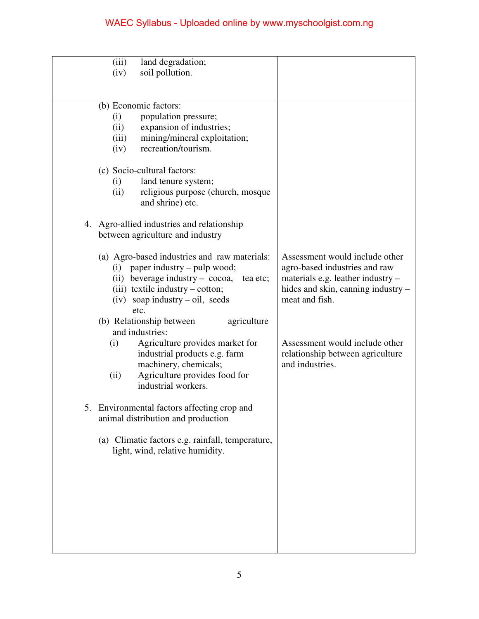| (iii)<br>land degradation;                                   |                                                     |
|--------------------------------------------------------------|-----------------------------------------------------|
| soil pollution.<br>(iv)                                      |                                                     |
|                                                              |                                                     |
|                                                              |                                                     |
| (b) Economic factors:                                        |                                                     |
| population pressure;<br>(i)                                  |                                                     |
| expansion of industries;<br>(ii)                             |                                                     |
| mining/mineral exploitation;<br>(iii)                        |                                                     |
| recreation/tourism.<br>(iv)                                  |                                                     |
| (c) Socio-cultural factors:                                  |                                                     |
| land tenure system;<br>(i)                                   |                                                     |
| religious purpose (church, mosque<br>(ii)                    |                                                     |
| and shrine) etc.                                             |                                                     |
|                                                              |                                                     |
| 4. Agro-allied industries and relationship                   |                                                     |
| between agriculture and industry                             |                                                     |
|                                                              |                                                     |
| (a) Agro-based industries and raw materials:                 | Assessment would include other                      |
| paper industry – pulp wood;<br>(i)                           | agro-based industries and raw                       |
| (ii) beverage industry – $\csc \alpha$ ,<br>tea etc;         | materials e.g. leather industry -                   |
| (iii) textile industry – cotton;                             | hides and skin, canning industry –                  |
| $(iv)$ soap industry – oil, seeds                            | meat and fish.                                      |
| etc.                                                         |                                                     |
| (b) Relationship between<br>agriculture                      |                                                     |
| and industries:                                              |                                                     |
| Agriculture provides market for<br>(i)                       | Assessment would include other                      |
| industrial products e.g. farm                                | relationship between agriculture<br>and industries. |
| machinery, chemicals;                                        |                                                     |
| Agriculture provides food for<br>(ii)<br>industrial workers. |                                                     |
|                                                              |                                                     |
| 5. Environmental factors affecting crop and                  |                                                     |
| animal distribution and production                           |                                                     |
|                                                              |                                                     |
| (a) Climatic factors e.g. rainfall, temperature,             |                                                     |
| light, wind, relative humidity.                              |                                                     |
|                                                              |                                                     |
|                                                              |                                                     |
|                                                              |                                                     |
|                                                              |                                                     |
|                                                              |                                                     |
|                                                              |                                                     |
|                                                              |                                                     |
|                                                              |                                                     |
|                                                              |                                                     |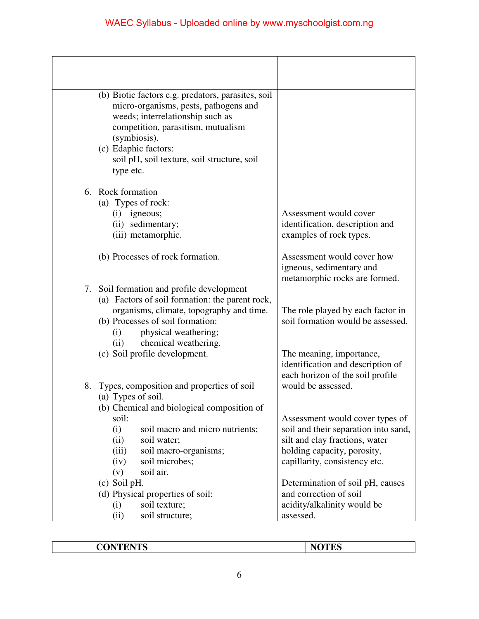|    | (b) Biotic factors e.g. predators, parasites, soil            |                                      |
|----|---------------------------------------------------------------|--------------------------------------|
|    | micro-organisms, pests, pathogens and                         |                                      |
|    | weeds; interrelationship such as                              |                                      |
|    | competition, parasitism, mutualism                            |                                      |
|    | (symbiosis).                                                  |                                      |
|    | (c) Edaphic factors:                                          |                                      |
|    | soil pH, soil texture, soil structure, soil                   |                                      |
|    | type etc.                                                     |                                      |
|    | 6. Rock formation                                             |                                      |
|    | (a) Types of rock:                                            |                                      |
|    | igneous;<br>(i)                                               | Assessment would cover               |
|    | (ii) sedimentary;                                             | identification, description and      |
|    | (iii) metamorphic.                                            | examples of rock types.              |
|    | (b) Processes of rock formation.                              | Assessment would cover how           |
|    |                                                               | igneous, sedimentary and             |
|    |                                                               | metamorphic rocks are formed.        |
| 7. | Soil formation and profile development                        |                                      |
|    | (a) Factors of soil formation: the parent rock,               |                                      |
|    | organisms, climate, topography and time.                      | The role played by each factor in    |
|    | (b) Processes of soil formation:                              | soil formation would be assessed.    |
|    | physical weathering;<br>(i)                                   |                                      |
|    | chemical weathering.<br>(ii)<br>(c) Soil profile development. | The meaning, importance,             |
|    |                                                               | identification and description of    |
|    |                                                               | each horizon of the soil profile     |
| 8. | Types, composition and properties of soil                     | would be assessed.                   |
|    | (a) Types of soil.                                            |                                      |
|    | (b) Chemical and biological composition of                    |                                      |
|    | soil:                                                         | Assessment would cover types of      |
|    | (i)<br>soil macro and micro nutrients;                        | soil and their separation into sand, |
|    | (ii)<br>soil water;                                           | silt and clay fractions, water       |
|    | soil macro-organisms;<br>(iii)                                | holding capacity, porosity,          |
|    | (iv)<br>soil microbes;                                        | capillarity, consistency etc.        |
|    | soil air.<br>(v)                                              |                                      |
|    | (c) Soil pH.                                                  | Determination of soil pH, causes     |
|    | (d) Physical properties of soil:                              | and correction of soil               |
|    | (i)<br>soil texture;                                          | acidity/alkalinity would be          |
|    | soil structure;<br>(ii)                                       | assessed.                            |

| <b>CONTENTS</b> |
|-----------------|
|-----------------|

**NOTES**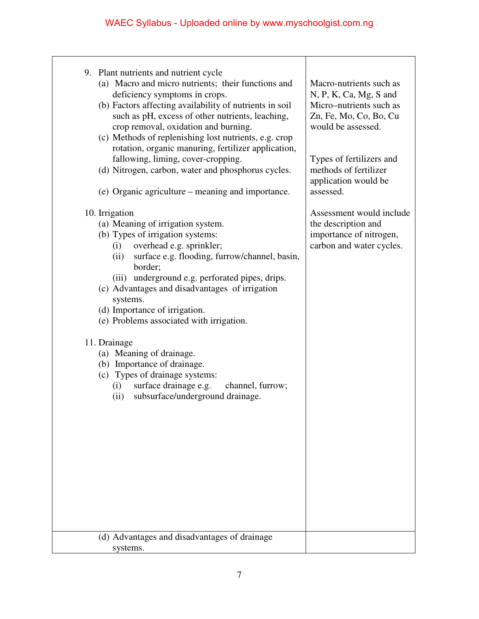| 9. Plant nutrients and nutrient cycle                                                    |                                                     |
|------------------------------------------------------------------------------------------|-----------------------------------------------------|
| (a) Macro and micro nutrients; their functions and                                       | Macro-nutrients such as                             |
| deficiency symptoms in crops.<br>(b) Factors affecting availability of nutrients in soil | $N, P, K, Ca, Mg, S$ and<br>Micro-nutrients such as |
| such as pH, excess of other nutrients, leaching,                                         | Zn, Fe, Mo, Co, Bo, Cu                              |
| crop removal, oxidation and burning.                                                     | would be assessed.                                  |
| (c) Methods of replenishing lost nutrients, e.g. crop                                    |                                                     |
| rotation, organic manuring, fertilizer application,                                      |                                                     |
| fallowing, liming, cover-cropping.                                                       | Types of fertilizers and                            |
| (d) Nitrogen, carbon, water and phosphorus cycles.                                       | methods of fertilizer<br>application would be       |
| (e) Organic agriculture – meaning and importance.                                        | assessed.                                           |
|                                                                                          |                                                     |
| 10. Irrigation                                                                           | Assessment would include                            |
| (a) Meaning of irrigation system.                                                        | the description and                                 |
| (b) Types of irrigation systems:                                                         | importance of nitrogen,                             |
| (i) overhead e.g. sprinkler;                                                             | carbon and water cycles.                            |
| surface e.g. flooding, furrow/channel, basin,<br>(ii)<br>border;                         |                                                     |
| (iii) underground e.g. perforated pipes, drips.                                          |                                                     |
| (c) Advantages and disadvantages of irrigation                                           |                                                     |
| systems.                                                                                 |                                                     |
| (d) Importance of irrigation.                                                            |                                                     |
| (e) Problems associated with irrigation.                                                 |                                                     |
| 11. Drainage                                                                             |                                                     |
| (a) Meaning of drainage.                                                                 |                                                     |
| (b) Importance of drainage.                                                              |                                                     |
| (c) Types of drainage systems:                                                           |                                                     |
| (i) surface drainage e.g. channel, furrow;                                               |                                                     |
| subsurface/underground drainage.<br>(ii)                                                 |                                                     |
|                                                                                          |                                                     |
|                                                                                          |                                                     |
|                                                                                          |                                                     |
|                                                                                          |                                                     |
|                                                                                          |                                                     |
|                                                                                          |                                                     |
|                                                                                          |                                                     |
|                                                                                          |                                                     |
|                                                                                          |                                                     |
|                                                                                          |                                                     |
| (d) Advantages and disadvantages of drainage                                             |                                                     |
| systems.                                                                                 |                                                     |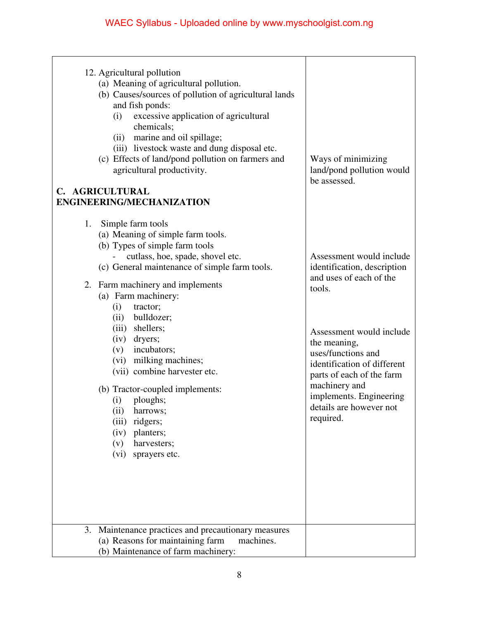| 12. Agricultural pollution<br>(a) Meaning of agricultural pollution.<br>(b) Causes/sources of pollution of agricultural lands<br>and fish ponds:<br>excessive application of agricultural<br>(i)<br>chemicals;<br>(ii) marine and oil spillage;<br>(iii) livestock waste and dung disposal etc.<br>(c) Effects of land/pond pollution on farmers and<br>agricultural productivity.<br>C. AGRICULTURAL<br>ENGINEERING/MECHANIZATION                                                                                                                                            | Ways of minimizing<br>land/pond pollution would<br>be assessed.                                                                                                                                                                                                                                                |
|-------------------------------------------------------------------------------------------------------------------------------------------------------------------------------------------------------------------------------------------------------------------------------------------------------------------------------------------------------------------------------------------------------------------------------------------------------------------------------------------------------------------------------------------------------------------------------|----------------------------------------------------------------------------------------------------------------------------------------------------------------------------------------------------------------------------------------------------------------------------------------------------------------|
| 1.<br>Simple farm tools<br>(a) Meaning of simple farm tools.<br>(b) Types of simple farm tools<br>cutlass, hoe, spade, shovel etc.<br>(c) General maintenance of simple farm tools.<br>2. Farm machinery and implements<br>(a) Farm machinery:<br>(i)<br>tractor;<br>bulldozer;<br>(ii)<br>(iii) shellers;<br>(iv) dryers;<br>incubators;<br>(v)<br>(vi) milking machines;<br>(vii) combine harvester etc.<br>(b) Tractor-coupled implements:<br>ploughs;<br>(i)<br>(ii)<br>harrows;<br>ridgers;<br>(iii)<br>planters;<br>(iv)<br>(v)<br>harvesters;<br>(vi)<br>sprayers etc. | Assessment would include<br>identification, description<br>and uses of each of the<br>tools.<br>Assessment would include<br>the meaning,<br>uses/functions and<br>identification of different<br>parts of each of the farm<br>machinery and<br>implements. Engineering<br>details are however not<br>required. |
| 3. Maintenance practices and precautionary measures<br>(a) Reasons for maintaining farm<br>machines.<br>(b) Maintenance of farm machinery:                                                                                                                                                                                                                                                                                                                                                                                                                                    |                                                                                                                                                                                                                                                                                                                |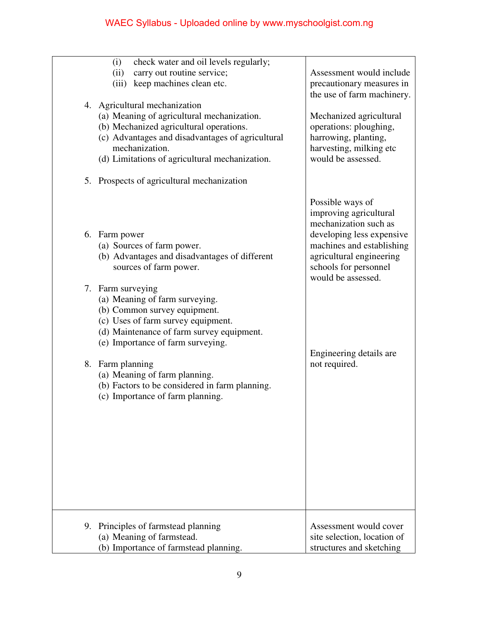| (i)<br>check water and oil levels regularly;<br>carry out routine service;<br>(ii)<br>keep machines clean etc.<br>(iii)<br>4. Agricultural mechanization<br>(a) Meaning of agricultural mechanization.<br>(b) Mechanized agricultural operations.<br>(c) Advantages and disadvantages of agricultural | Assessment would include<br>precautionary measures in<br>the use of farm machinery.<br>Mechanized agricultural<br>operations: ploughing,<br>harrowing, planting, |
|-------------------------------------------------------------------------------------------------------------------------------------------------------------------------------------------------------------------------------------------------------------------------------------------------------|------------------------------------------------------------------------------------------------------------------------------------------------------------------|
| mechanization.<br>(d) Limitations of agricultural mechanization.<br>5. Prospects of agricultural mechanization                                                                                                                                                                                        | harvesting, milking etc<br>would be assessed.                                                                                                                    |
|                                                                                                                                                                                                                                                                                                       | Possible ways of<br>improving agricultural<br>mechanization such as                                                                                              |
| 6. Farm power<br>(a) Sources of farm power.<br>(b) Advantages and disadvantages of different<br>sources of farm power.                                                                                                                                                                                | developing less expensive<br>machines and establishing<br>agricultural engineering<br>schools for personnel<br>would be assessed.                                |
| 7. Farm surveying<br>(a) Meaning of farm surveying.<br>(b) Common survey equipment.<br>(c) Uses of farm survey equipment.<br>(d) Maintenance of farm survey equipment.<br>(e) Importance of farm surveying.                                                                                           |                                                                                                                                                                  |
| 8. Farm planning<br>(a) Meaning of farm planning.<br>(b) Factors to be considered in farm planning.<br>(c) Importance of farm planning.                                                                                                                                                               | Engineering details are<br>not required.                                                                                                                         |
| 9. Principles of farmstead planning<br>(a) Meaning of farmstead.<br>(b) Importance of farmstead planning.                                                                                                                                                                                             | Assessment would cover<br>site selection, location of<br>structures and sketching                                                                                |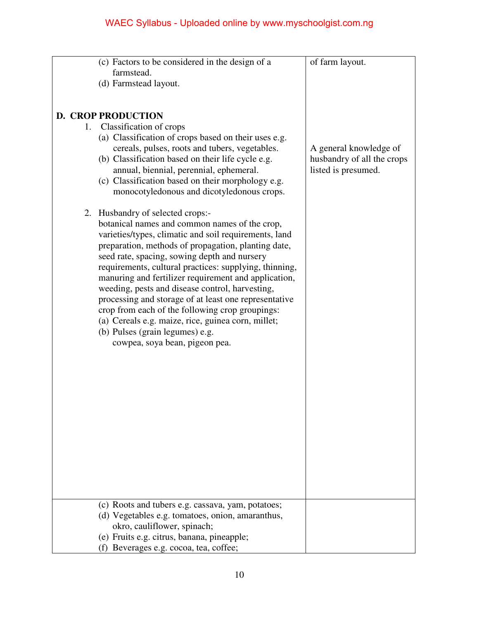|  | (c) Factors to be considered in the design of a                                                          | of farm layout.            |
|--|----------------------------------------------------------------------------------------------------------|----------------------------|
|  | farmstead.                                                                                               |                            |
|  | (d) Farmstead layout.                                                                                    |                            |
|  |                                                                                                          |                            |
|  |                                                                                                          |                            |
|  | <b>D. CROP PRODUCTION</b>                                                                                |                            |
|  | 1. Classification of crops<br>(a) Classification of crops based on their uses e.g.                       |                            |
|  | cereals, pulses, roots and tubers, vegetables.                                                           | A general knowledge of     |
|  | (b) Classification based on their life cycle e.g.                                                        | husbandry of all the crops |
|  | annual, biennial, perennial, ephemeral.                                                                  | listed is presumed.        |
|  | (c) Classification based on their morphology e.g.                                                        |                            |
|  | monocotyledonous and dicotyledonous crops.                                                               |                            |
|  |                                                                                                          |                            |
|  | 2. Husbandry of selected crops:-                                                                         |                            |
|  | botanical names and common names of the crop,                                                            |                            |
|  | varieties/types, climatic and soil requirements, land                                                    |                            |
|  | preparation, methods of propagation, planting date,                                                      |                            |
|  | seed rate, spacing, sowing depth and nursery                                                             |                            |
|  | requirements, cultural practices: supplying, thinning,                                                   |                            |
|  | manuring and fertilizer requirement and application,                                                     |                            |
|  | weeding, pests and disease control, harvesting,                                                          |                            |
|  | processing and storage of at least one representative<br>crop from each of the following crop groupings: |                            |
|  | (a) Cereals e.g. maize, rice, guinea corn, millet;                                                       |                            |
|  | (b) Pulses (grain legumes) e.g.                                                                          |                            |
|  | cowpea, soya bean, pigeon pea.                                                                           |                            |
|  |                                                                                                          |                            |
|  |                                                                                                          |                            |
|  |                                                                                                          |                            |
|  |                                                                                                          |                            |
|  |                                                                                                          |                            |
|  |                                                                                                          |                            |
|  |                                                                                                          |                            |
|  |                                                                                                          |                            |
|  |                                                                                                          |                            |
|  |                                                                                                          |                            |
|  |                                                                                                          |                            |
|  |                                                                                                          |                            |
|  |                                                                                                          |                            |
|  | (c) Roots and tubers e.g. cassava, yam, potatoes;                                                        |                            |
|  | (d) Vegetables e.g. tomatoes, onion, amaranthus,                                                         |                            |
|  | okro, cauliflower, spinach;                                                                              |                            |
|  | (e) Fruits e.g. citrus, banana, pineapple;                                                               |                            |
|  | (f) Beverages e.g. cocoa, tea, coffee;                                                                   |                            |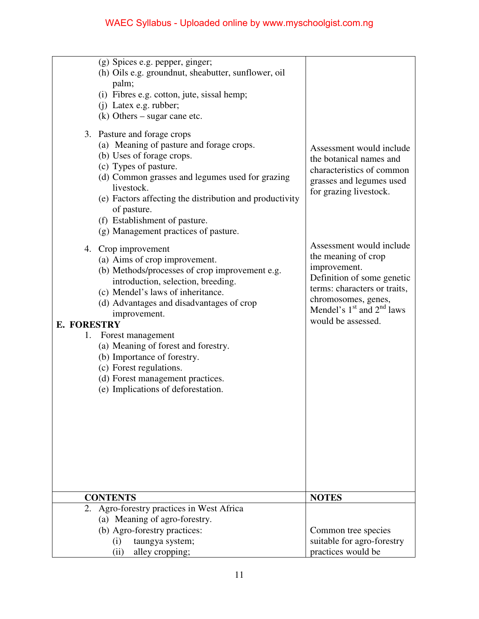| (g) Spices e.g. pepper, ginger;<br>(h) Oils e.g. groundnut, sheabutter, sunflower, oil<br>palm;<br>(i) Fibres e.g. cotton, jute, sissal hemp;<br>(j) Latex e.g. rubber;<br>$(k)$ Others – sugar cane etc.<br>3. Pasture and forage crops<br>(a) Meaning of pasture and forage crops.<br>(b) Uses of forage crops.<br>(c) Types of pasture.<br>(d) Common grasses and legumes used for grazing<br>livestock.<br>(e) Factors affecting the distribution and productivity<br>of pasture.<br>(f) Establishment of pasture.<br>(g) Management practices of pasture.<br>4. Crop improvement<br>(a) Aims of crop improvement.<br>(b) Methods/processes of crop improvement e.g.<br>introduction, selection, breeding.<br>(c) Mendel's laws of inheritance.<br>(d) Advantages and disadvantages of crop<br>improvement.<br><b>E. FORESTRY</b> | Assessment would include<br>the botanical names and<br>characteristics of common<br>grasses and legumes used<br>for grazing livestock.<br>Assessment would include<br>the meaning of crop<br>improvement.<br>Definition of some genetic<br>terms: characters or traits,<br>chromosomes, genes,<br>Mendel's $1st$ and $2nd$ laws<br>would be assessed. |
|---------------------------------------------------------------------------------------------------------------------------------------------------------------------------------------------------------------------------------------------------------------------------------------------------------------------------------------------------------------------------------------------------------------------------------------------------------------------------------------------------------------------------------------------------------------------------------------------------------------------------------------------------------------------------------------------------------------------------------------------------------------------------------------------------------------------------------------|-------------------------------------------------------------------------------------------------------------------------------------------------------------------------------------------------------------------------------------------------------------------------------------------------------------------------------------------------------|
| (c) Forest regulations.<br>(d) Forest management practices.<br>(e) Implications of deforestation.<br><b>CONTENTS</b><br>Agro-forestry practices in West Africa<br>2.<br>(a) Meaning of agro-forestry.<br>(b) Agro-forestry practices:<br>(i)<br>taungya system;<br>alley cropping;<br>(ii)                                                                                                                                                                                                                                                                                                                                                                                                                                                                                                                                            | <b>NOTES</b><br>Common tree species<br>suitable for agro-forestry<br>practices would be                                                                                                                                                                                                                                                               |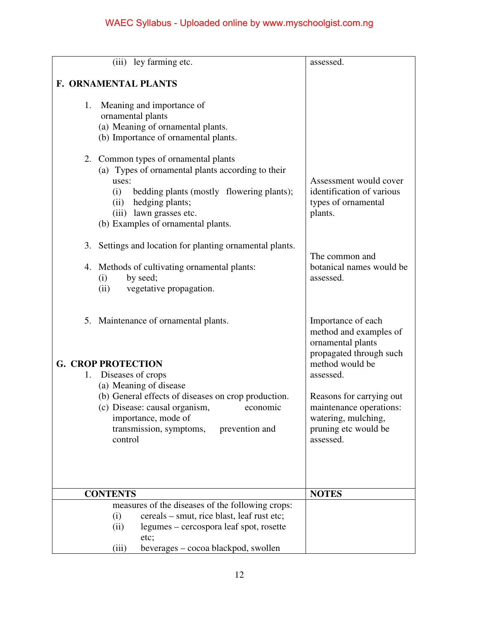| (iii) ley farming etc.                                                                                                                                                                                                                             | assessed.                                                                                                                   |
|----------------------------------------------------------------------------------------------------------------------------------------------------------------------------------------------------------------------------------------------------|-----------------------------------------------------------------------------------------------------------------------------|
|                                                                                                                                                                                                                                                    |                                                                                                                             |
| F. ORNAMENTAL PLANTS                                                                                                                                                                                                                               |                                                                                                                             |
| 1.<br>Meaning and importance of<br>ornamental plants<br>(a) Meaning of ornamental plants.<br>(b) Importance of ornamental plants.                                                                                                                  |                                                                                                                             |
| 2. Common types of ornamental plants<br>(a) Types of ornamental plants according to their<br>uses:<br>bedding plants (mostly flowering plants);<br>(i)<br>hedging plants;<br>(ii)<br>(iii) lawn grasses etc.<br>(b) Examples of ornamental plants. | Assessment would cover<br>identification of various<br>types of ornamental<br>plants.                                       |
| 3. Settings and location for planting ornamental plants.                                                                                                                                                                                           | The common and                                                                                                              |
| 4. Methods of cultivating ornamental plants:<br>by seed;<br>(i)<br>vegetative propagation.<br>(ii)                                                                                                                                                 | botanical names would be<br>assessed.                                                                                       |
| 5. Maintenance of ornamental plants.<br><b>G. CROP PROTECTION</b>                                                                                                                                                                                  | Importance of each<br>method and examples of<br>ornamental plants<br>propagated through such<br>method would be             |
| Diseases of crops<br>1.<br>(a) Meaning of disease                                                                                                                                                                                                  | assessed.                                                                                                                   |
| (b) General effects of diseases on crop production.<br>(c) Disease: causal organism,<br>importance, mode of<br>transmission, symptoms,<br>prevention and<br>control                                                                                | Reasons for carrying out<br>economic<br>maintenance operations:<br>watering, mulching,<br>pruning etc would be<br>assessed. |
|                                                                                                                                                                                                                                                    |                                                                                                                             |
| <b>CONTENTS</b>                                                                                                                                                                                                                                    | <b>NOTES</b>                                                                                                                |
| measures of the diseases of the following crops:                                                                                                                                                                                                   |                                                                                                                             |
| cereals – smut, rice blast, leaf rust etc;<br>(i)<br>legumes – cercospora leaf spot, rosette<br>(ii)<br>etc;                                                                                                                                       |                                                                                                                             |
| (iii)<br>beverages – cocoa blackpod, swollen                                                                                                                                                                                                       |                                                                                                                             |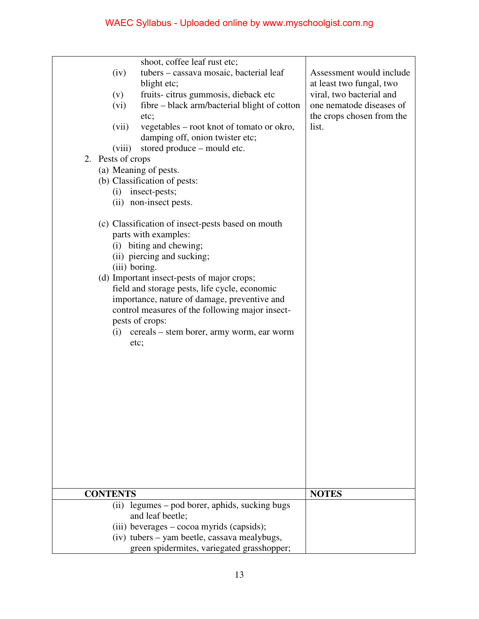| shoot, coffee leaf rust etc;<br>tubers – cassava mosaic, bacterial leaf<br>(iv)<br>blight etc;<br>fruits-citrus gummosis, dieback etc<br>(v)<br>fibre – black arm/bacterial blight of cotton<br>(vi)<br>etc;<br>vegetables – root knot of tomato or okro,<br>(vii)<br>damping off, onion twister etc;<br>stored produce – mould etc.<br>(viii)<br>2. Pests of crops<br>(a) Meaning of pests.<br>(b) Classification of pests:<br>insect-pests;<br>(i)<br>(ii) non-insect pests.<br>(c) Classification of insect-pests based on mouth<br>parts with examples:<br>(i) biting and chewing;<br>(ii) piercing and sucking;<br>(iii) boring.<br>(d) Important insect-pests of major crops;<br>field and storage pests, life cycle, economic<br>importance, nature of damage, preventive and<br>control measures of the following major insect-<br>pests of crops:<br>cereals – stem borer, army worm, ear worm<br>(i)<br>etc; | Assessment would include<br>at least two fungal, two<br>viral, two bacterial and<br>one nematode diseases of<br>the crops chosen from the<br>list. |
|------------------------------------------------------------------------------------------------------------------------------------------------------------------------------------------------------------------------------------------------------------------------------------------------------------------------------------------------------------------------------------------------------------------------------------------------------------------------------------------------------------------------------------------------------------------------------------------------------------------------------------------------------------------------------------------------------------------------------------------------------------------------------------------------------------------------------------------------------------------------------------------------------------------------|----------------------------------------------------------------------------------------------------------------------------------------------------|
| <b>CONTENTS</b>                                                                                                                                                                                                                                                                                                                                                                                                                                                                                                                                                                                                                                                                                                                                                                                                                                                                                                        | <b>NOTES</b>                                                                                                                                       |
| (ii) legumes – pod borer, aphids, sucking bugs                                                                                                                                                                                                                                                                                                                                                                                                                                                                                                                                                                                                                                                                                                                                                                                                                                                                         |                                                                                                                                                    |
| and leaf beetle;                                                                                                                                                                                                                                                                                                                                                                                                                                                                                                                                                                                                                                                                                                                                                                                                                                                                                                       |                                                                                                                                                    |
| (iii) beverages - cocoa myrids (capsids);                                                                                                                                                                                                                                                                                                                                                                                                                                                                                                                                                                                                                                                                                                                                                                                                                                                                              |                                                                                                                                                    |
| (iv) tubers – yam beetle, cassava mealybugs,                                                                                                                                                                                                                                                                                                                                                                                                                                                                                                                                                                                                                                                                                                                                                                                                                                                                           |                                                                                                                                                    |
| green spidermites, variegated grasshopper;                                                                                                                                                                                                                                                                                                                                                                                                                                                                                                                                                                                                                                                                                                                                                                                                                                                                             |                                                                                                                                                    |
|                                                                                                                                                                                                                                                                                                                                                                                                                                                                                                                                                                                                                                                                                                                                                                                                                                                                                                                        |                                                                                                                                                    |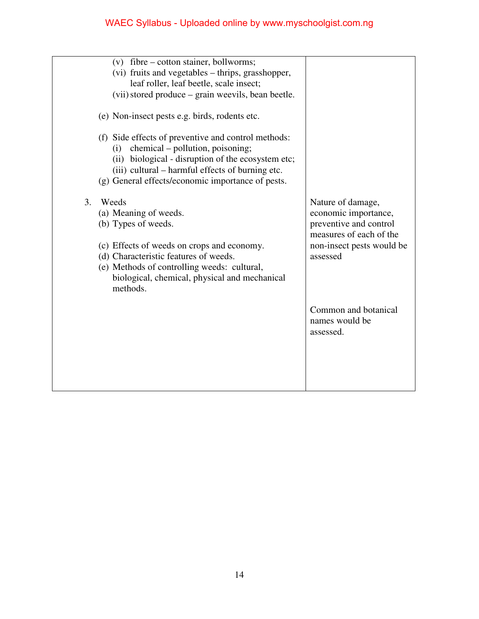|    | (v) fibre – cotton stainer, bollworms;<br>(vi) fruits and vegetables – thrips, grasshopper,<br>leaf roller, leaf beetle, scale insect;<br>(vii) stored produce – grain weevils, bean beetle.<br>(e) Non-insect pests e.g. birds, rodents etc.<br>(f) Side effects of preventive and control methods:<br>chemical – pollution, poisoning;<br>(i)<br>(ii) biological - disruption of the ecosystem etc;<br>(iii) cultural - harmful effects of burning etc. |                                                                                                                                         |
|----|-----------------------------------------------------------------------------------------------------------------------------------------------------------------------------------------------------------------------------------------------------------------------------------------------------------------------------------------------------------------------------------------------------------------------------------------------------------|-----------------------------------------------------------------------------------------------------------------------------------------|
| 3. | (g) General effects/economic importance of pests.<br>Weeds<br>(a) Meaning of weeds.<br>(b) Types of weeds.<br>(c) Effects of weeds on crops and economy.<br>(d) Characteristic features of weeds.<br>(e) Methods of controlling weeds: cultural,<br>biological, chemical, physical and mechanical<br>methods.                                                                                                                                             | Nature of damage,<br>economic importance,<br>preventive and control<br>measures of each of the<br>non-insect pests would be<br>assessed |
|    |                                                                                                                                                                                                                                                                                                                                                                                                                                                           | Common and botanical<br>names would be<br>assessed.                                                                                     |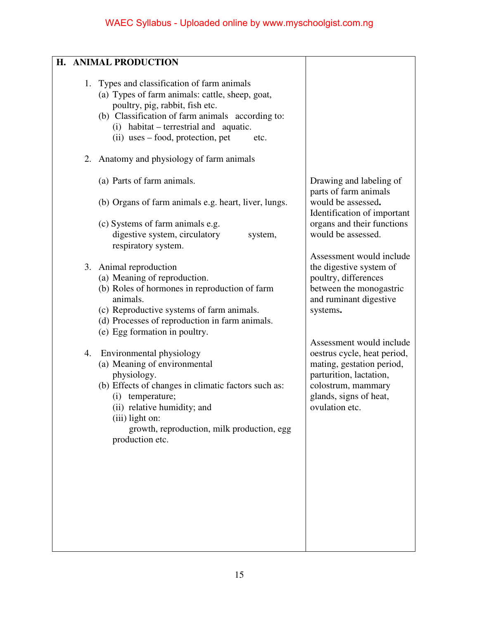| H. ANIMAL PRODUCTION                                                                                                                                                                                                                                                          |                                                                                                                                                                                   |
|-------------------------------------------------------------------------------------------------------------------------------------------------------------------------------------------------------------------------------------------------------------------------------|-----------------------------------------------------------------------------------------------------------------------------------------------------------------------------------|
| 1. Types and classification of farm animals<br>(a) Types of farm animals: cattle, sheep, goat,<br>poultry, pig, rabbit, fish etc.<br>(b) Classification of farm animals according to:<br>(i) habitat – terrestrial and aquatic.<br>(ii) uses – food, protection, pet<br>etc.  |                                                                                                                                                                                   |
| 2. Anatomy and physiology of farm animals                                                                                                                                                                                                                                     |                                                                                                                                                                                   |
| (a) Parts of farm animals.                                                                                                                                                                                                                                                    | Drawing and labeling of<br>parts of farm animals                                                                                                                                  |
| (b) Organs of farm animals e.g. heart, liver, lungs.                                                                                                                                                                                                                          | would be assessed.<br>Identification of important                                                                                                                                 |
| (c) Systems of farm animals e.g.<br>digestive system, circulatory<br>system,<br>respiratory system.                                                                                                                                                                           | organs and their functions<br>would be assessed.                                                                                                                                  |
| 3. Animal reproduction                                                                                                                                                                                                                                                        | Assessment would include<br>the digestive system of                                                                                                                               |
| (a) Meaning of reproduction.<br>(b) Roles of hormones in reproduction of farm<br>animals.<br>(c) Reproductive systems of farm animals.<br>(d) Processes of reproduction in farm animals.<br>(e) Egg formation in poultry.                                                     | poultry, differences<br>between the monogastric<br>and ruminant digestive<br>systems.                                                                                             |
| Environmental physiology<br>4.<br>(a) Meaning of environmental<br>physiology.<br>(b) Effects of changes in climatic factors such as:<br>(i) temperature;<br>(ii) relative humidity; and<br>$(iii)$ light on:<br>growth, reproduction, milk production, egg<br>production etc. | Assessment would include<br>oestrus cycle, heat period,<br>mating, gestation period,<br>parturition, lactation,<br>colostrum, mammary<br>glands, signs of heat,<br>ovulation etc. |
|                                                                                                                                                                                                                                                                               |                                                                                                                                                                                   |
|                                                                                                                                                                                                                                                                               |                                                                                                                                                                                   |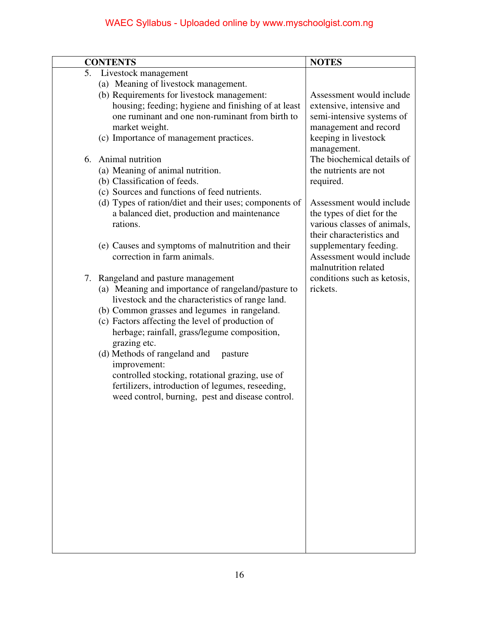|    | <b>CONTENTS</b>                                        | <b>NOTES</b>                |
|----|--------------------------------------------------------|-----------------------------|
| 5. | Livestock management                                   |                             |
|    | (a) Meaning of livestock management.                   |                             |
|    | (b) Requirements for livestock management:             | Assessment would include    |
|    | housing; feeding; hygiene and finishing of at least    | extensive, intensive and    |
|    | one ruminant and one non-ruminant from birth to        | semi-intensive systems of   |
|    | market weight.                                         | management and record       |
|    | (c) Importance of management practices.                | keeping in livestock        |
|    |                                                        | management.                 |
| 6. | Animal nutrition                                       | The biochemical details of  |
|    | (a) Meaning of animal nutrition.                       | the nutrients are not       |
|    | (b) Classification of feeds.                           | required.                   |
|    | (c) Sources and functions of feed nutrients.           |                             |
|    | (d) Types of ration/diet and their uses; components of | Assessment would include    |
|    | a balanced diet, production and maintenance            | the types of diet for the   |
|    | rations.                                               | various classes of animals, |
|    |                                                        | their characteristics and   |
|    | (e) Causes and symptoms of malnutrition and their      | supplementary feeding.      |
|    | correction in farm animals.                            | Assessment would include    |
|    |                                                        | malnutrition related        |
|    | 7. Rangeland and pasture management                    | conditions such as ketosis, |
|    | (a) Meaning and importance of rangeland/pasture to     | rickets.                    |
|    | livestock and the characteristics of range land.       |                             |
|    | (b) Common grasses and legumes in rangeland.           |                             |
|    | (c) Factors affecting the level of production of       |                             |
|    | herbage; rainfall, grass/legume composition,           |                             |
|    | grazing etc.                                           |                             |
|    | (d) Methods of rangeland and<br>pasture                |                             |
|    | improvement:                                           |                             |
|    | controlled stocking, rotational grazing, use of        |                             |
|    | fertilizers, introduction of legumes, reseeding,       |                             |
|    | weed control, burning, pest and disease control.       |                             |
|    |                                                        |                             |
|    |                                                        |                             |
|    |                                                        |                             |
|    |                                                        |                             |
|    |                                                        |                             |
|    |                                                        |                             |
|    |                                                        |                             |
|    |                                                        |                             |
|    |                                                        |                             |
|    |                                                        |                             |
|    |                                                        |                             |
|    |                                                        |                             |
|    |                                                        |                             |
|    |                                                        |                             |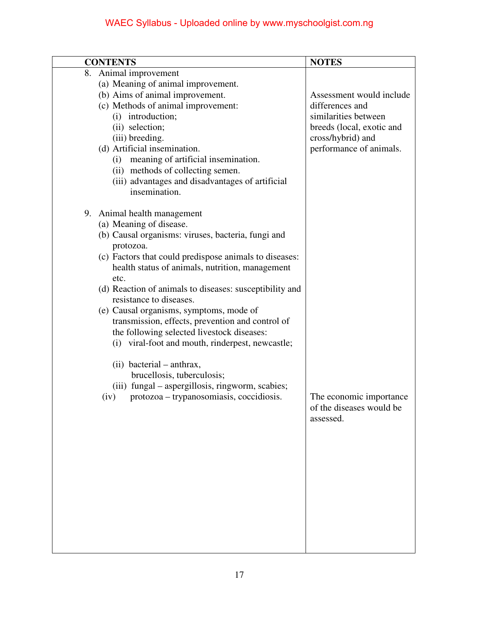| <b>CONTENTS</b>                                                                                                                                                                                                                                                                                                                                                                                                                                                                                                                                                                                                                                                                                          | <b>NOTES</b>                                                                                                                                     |
|----------------------------------------------------------------------------------------------------------------------------------------------------------------------------------------------------------------------------------------------------------------------------------------------------------------------------------------------------------------------------------------------------------------------------------------------------------------------------------------------------------------------------------------------------------------------------------------------------------------------------------------------------------------------------------------------------------|--------------------------------------------------------------------------------------------------------------------------------------------------|
| $\overline{8}$ . Animal improvement<br>(a) Meaning of animal improvement.<br>(b) Aims of animal improvement.<br>(c) Methods of animal improvement:<br>(i) introduction;<br>(ii) selection;<br>(iii) breeding.<br>(d) Artificial insemination.<br>meaning of artificial insemination.<br>(i)<br>(ii) methods of collecting semen.<br>(iii) advantages and disadvantages of artificial<br>insemination.                                                                                                                                                                                                                                                                                                    | Assessment would include<br>differences and<br>similarities between<br>breeds (local, exotic and<br>cross/hybrid) and<br>performance of animals. |
| 9. Animal health management<br>(a) Meaning of disease.<br>(b) Causal organisms: viruses, bacteria, fungi and<br>protozoa.<br>(c) Factors that could predispose animals to diseases:<br>health status of animals, nutrition, management<br>etc.<br>(d) Reaction of animals to diseases: susceptibility and<br>resistance to diseases.<br>(e) Causal organisms, symptoms, mode of<br>transmission, effects, prevention and control of<br>the following selected livestock diseases:<br>(i) viral-foot and mouth, rinderpest, newcastle;<br>(ii) bacterial – anthrax,<br>brucellosis, tuberculosis;<br>(iii) fungal - aspergillosis, ringworm, scabies;<br>protozoa – trypanosomiasis, coccidiosis.<br>(iv) | The economic importance<br>of the diseases would be<br>assessed.                                                                                 |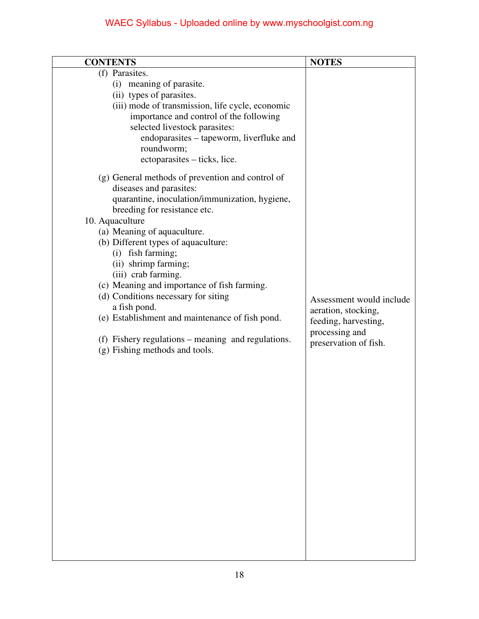| <b>CONTENTS</b>                                                                                                                                                                                                 | <b>NOTES</b>                                                                                                       |
|-----------------------------------------------------------------------------------------------------------------------------------------------------------------------------------------------------------------|--------------------------------------------------------------------------------------------------------------------|
| (f) Parasites.<br>(i) meaning of parasite.<br>(ii) types of parasites.<br>(iii) mode of transmission, life cycle, economic<br>importance and control of the following                                           |                                                                                                                    |
| selected livestock parasites:<br>endoparasites – tapeworm, liverfluke and<br>roundworm;<br>ectoparasites – ticks, lice.                                                                                         |                                                                                                                    |
| (g) General methods of prevention and control of<br>diseases and parasites:<br>quarantine, inoculation/immunization, hygiene,<br>breeding for resistance etc.<br>10. Aquaculture<br>(a) Meaning of aquaculture. |                                                                                                                    |
| (b) Different types of aquaculture:<br>(i) fish farming;<br>(ii) shrimp farming;<br>(iii) crab farming.<br>(c) Meaning and importance of fish farming.                                                          |                                                                                                                    |
| (d) Conditions necessary for siting<br>a fish pond.<br>(e) Establishment and maintenance of fish pond.<br>(f) Fishery regulations – meaning and regulations.                                                    | Assessment would include<br>aeration, stocking,<br>feeding, harvesting,<br>processing and<br>preservation of fish. |
| (g) Fishing methods and tools.                                                                                                                                                                                  |                                                                                                                    |
|                                                                                                                                                                                                                 |                                                                                                                    |
|                                                                                                                                                                                                                 |                                                                                                                    |
|                                                                                                                                                                                                                 |                                                                                                                    |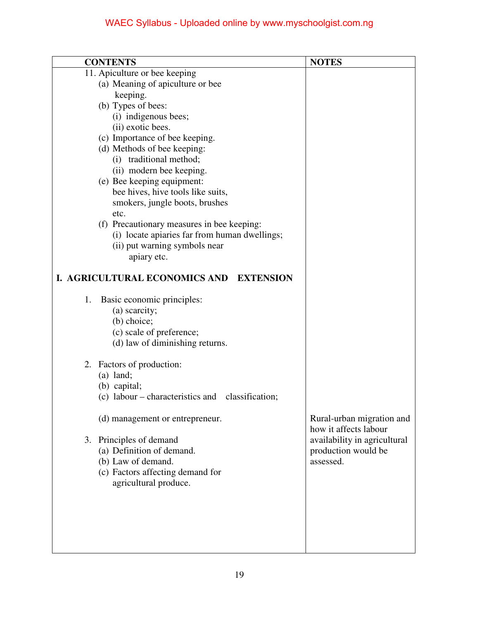|    | <b>CONTENTS</b>                                                                                                           | <b>NOTES</b>                                       |
|----|---------------------------------------------------------------------------------------------------------------------------|----------------------------------------------------|
|    | 11. Apiculture or bee keeping                                                                                             |                                                    |
|    | (a) Meaning of apiculture or bee                                                                                          |                                                    |
|    | keeping.                                                                                                                  |                                                    |
|    | (b) Types of bees:                                                                                                        |                                                    |
|    | (i) indigenous bees;                                                                                                      |                                                    |
|    | (ii) exotic bees.                                                                                                         |                                                    |
|    | (c) Importance of bee keeping.                                                                                            |                                                    |
|    | (d) Methods of bee keeping:                                                                                               |                                                    |
|    | (i) traditional method;                                                                                                   |                                                    |
|    | (ii) modern bee keeping.                                                                                                  |                                                    |
|    | (e) Bee keeping equipment:<br>bee hives, hive tools like suits,                                                           |                                                    |
|    | smokers, jungle boots, brushes                                                                                            |                                                    |
|    | etc.                                                                                                                      |                                                    |
|    | (f) Precautionary measures in bee keeping:                                                                                |                                                    |
|    | (i) locate apiaries far from human dwellings;                                                                             |                                                    |
|    | (ii) put warning symbols near                                                                                             |                                                    |
|    | apiary etc.                                                                                                               |                                                    |
|    |                                                                                                                           |                                                    |
|    | I. AGRICULTURAL ECONOMICS AND<br><b>EXTENSION</b>                                                                         |                                                    |
| 1. | Basic economic principles:<br>(a) scarcity;<br>(b) choice;<br>(c) scale of preference;<br>(d) law of diminishing returns. |                                                    |
|    | 2. Factors of production:                                                                                                 |                                                    |
|    | $(a)$ land;                                                                                                               |                                                    |
|    | (b) capital;                                                                                                              |                                                    |
|    | (c) labour – characteristics and classification;                                                                          |                                                    |
|    |                                                                                                                           |                                                    |
|    | (d) management or entrepreneur.                                                                                           | Rural-urban migration and<br>how it affects labour |
|    | 3. Principles of demand                                                                                                   | availability in agricultural                       |
|    | (a) Definition of demand.                                                                                                 | production would be                                |
|    | (b) Law of demand.                                                                                                        | assessed.                                          |
|    | (c) Factors affecting demand for                                                                                          |                                                    |
|    | agricultural produce.                                                                                                     |                                                    |
|    |                                                                                                                           |                                                    |
|    |                                                                                                                           |                                                    |
|    |                                                                                                                           |                                                    |
|    |                                                                                                                           |                                                    |
|    |                                                                                                                           |                                                    |
|    |                                                                                                                           |                                                    |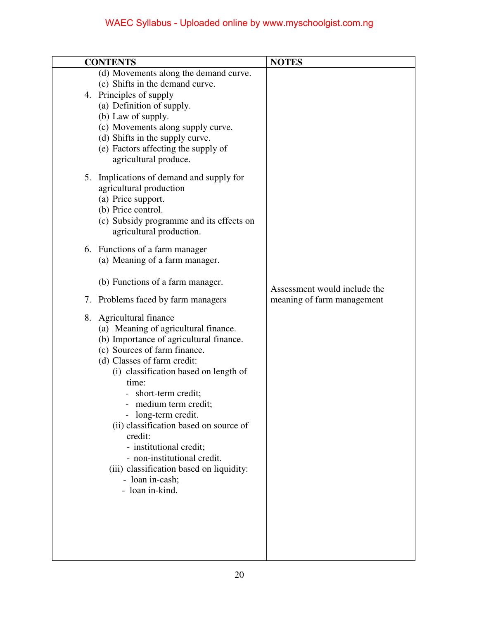| <b>CONTENTS</b>                                                                                                                                                                                                                                                                                                                                                                                                                                                                                | <b>NOTES</b>                                               |
|------------------------------------------------------------------------------------------------------------------------------------------------------------------------------------------------------------------------------------------------------------------------------------------------------------------------------------------------------------------------------------------------------------------------------------------------------------------------------------------------|------------------------------------------------------------|
| (d) Movements along the demand curve.<br>(e) Shifts in the demand curve.<br>4. Principles of supply<br>(a) Definition of supply.<br>(b) Law of supply.<br>(c) Movements along supply curve.<br>(d) Shifts in the supply curve.<br>(e) Factors affecting the supply of<br>agricultural produce.                                                                                                                                                                                                 |                                                            |
| 5. Implications of demand and supply for<br>agricultural production<br>(a) Price support.<br>(b) Price control.<br>(c) Subsidy programme and its effects on<br>agricultural production.<br>6. Functions of a farm manager<br>(a) Meaning of a farm manager.<br>(b) Functions of a farm manager.<br>7. Problems faced by farm managers                                                                                                                                                          | Assessment would include the<br>meaning of farm management |
| 8. Agricultural finance<br>(a) Meaning of agricultural finance.<br>(b) Importance of agricultural finance.<br>(c) Sources of farm finance.<br>(d) Classes of farm credit:<br>(i) classification based on length of<br>time:<br>short-term credit;<br>medium term credit;<br>long-term credit.<br>(ii) classification based on source of<br>credit:<br>- institutional credit;<br>- non-institutional credit.<br>(iii) classification based on liquidity:<br>- loan in-cash;<br>- loan in-kind. |                                                            |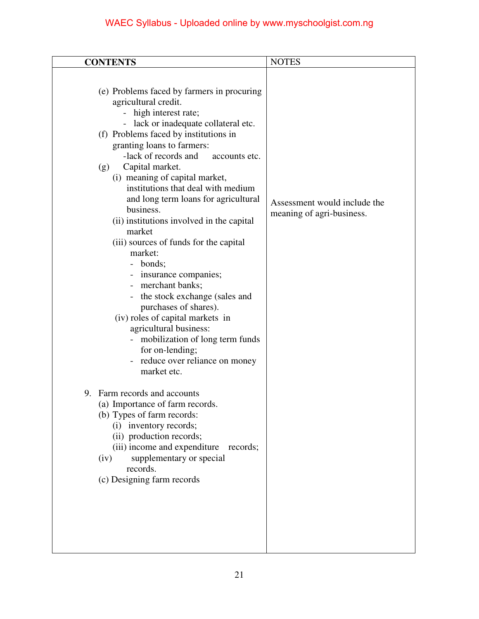| <b>CONTENTS</b>                                                                                                                                                                                                                                                                                                                                                                                                                                                                                                                                                                                                                                                                                                                                                                                               | <b>NOTES</b>                                              |
|---------------------------------------------------------------------------------------------------------------------------------------------------------------------------------------------------------------------------------------------------------------------------------------------------------------------------------------------------------------------------------------------------------------------------------------------------------------------------------------------------------------------------------------------------------------------------------------------------------------------------------------------------------------------------------------------------------------------------------------------------------------------------------------------------------------|-----------------------------------------------------------|
| (e) Problems faced by farmers in procuring<br>agricultural credit.<br>- high interest rate;<br>- lack or inadequate collateral etc.<br>(f) Problems faced by institutions in<br>granting loans to farmers:<br>-lack of records and<br>accounts etc.<br>Capital market.<br>(g)<br>(i) meaning of capital market,<br>institutions that deal with medium<br>and long term loans for agricultural<br>business.<br>(ii) institutions involved in the capital<br>market<br>(iii) sources of funds for the capital<br>market:<br>bonds;<br>insurance companies;<br>merchant banks;<br>- the stock exchange (sales and<br>purchases of shares).<br>(iv) roles of capital markets in<br>agricultural business:<br>mobilization of long term funds<br>for on-lending;<br>- reduce over reliance on money<br>market etc. | Assessment would include the<br>meaning of agri-business. |
| 9. Farm records and accounts<br>(a) Importance of farm records.<br>(b) Types of farm records:<br>(i) inventory records;<br>(ii) production records;<br>(iii) income and expenditure<br>records;<br>supplementary or special<br>(iv)<br>records.<br>(c) Designing farm records                                                                                                                                                                                                                                                                                                                                                                                                                                                                                                                                 |                                                           |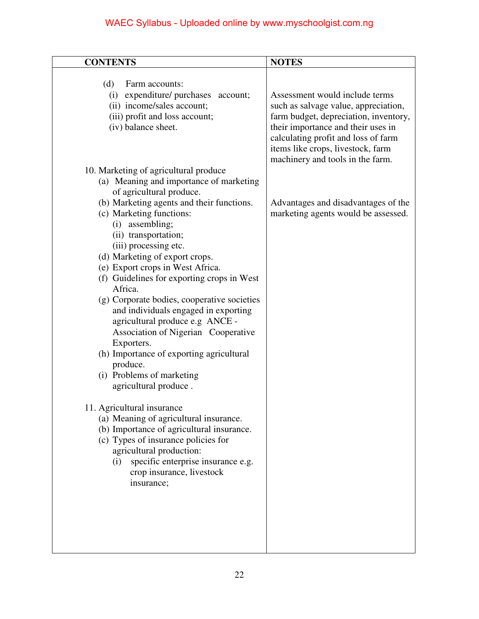| <b>CONTENTS</b>                                                                                                                                                                                                                                                                                                                                                                                                                                                                                                                                                                                                                                                                                                                                                                                                                                                                                                                                                          | <b>NOTES</b>                                                                                                                                                                                                                                                          |
|--------------------------------------------------------------------------------------------------------------------------------------------------------------------------------------------------------------------------------------------------------------------------------------------------------------------------------------------------------------------------------------------------------------------------------------------------------------------------------------------------------------------------------------------------------------------------------------------------------------------------------------------------------------------------------------------------------------------------------------------------------------------------------------------------------------------------------------------------------------------------------------------------------------------------------------------------------------------------|-----------------------------------------------------------------------------------------------------------------------------------------------------------------------------------------------------------------------------------------------------------------------|
| (d)<br>Farm accounts:<br>(i) expenditure/ purchases account;<br>(ii) income/sales account;<br>(iii) profit and loss account;<br>(iv) balance sheet.                                                                                                                                                                                                                                                                                                                                                                                                                                                                                                                                                                                                                                                                                                                                                                                                                      | Assessment would include terms<br>such as salvage value, appreciation,<br>farm budget, depreciation, inventory,<br>their importance and their uses in<br>calculating profit and loss of farm<br>items like crops, livestock, farm<br>machinery and tools in the farm. |
| 10. Marketing of agricultural produce<br>(a) Meaning and importance of marketing<br>of agricultural produce.<br>(b) Marketing agents and their functions.<br>(c) Marketing functions:<br>assembling;<br>(i)<br>(ii) transportation;<br>(iii) processing etc.<br>(d) Marketing of export crops.<br>(e) Export crops in West Africa.<br>(f) Guidelines for exporting crops in West<br>Africa.<br>(g) Corporate bodies, cooperative societies<br>and individuals engaged in exporting<br>agricultural produce e.g ANCE -<br>Association of Nigerian Cooperative<br>Exporters.<br>(h) Importance of exporting agricultural<br>produce.<br>(i) Problems of marketing<br>agricultural produce.<br>11. Agricultural insurance<br>(a) Meaning of agricultural insurance.<br>(b) Importance of agricultural insurance.<br>(c) Types of insurance policies for<br>agricultural production:<br>specific enterprise insurance e.g.<br>(i)<br>crop insurance, livestock<br>insurance; | Advantages and disadvantages of the<br>marketing agents would be assessed.                                                                                                                                                                                            |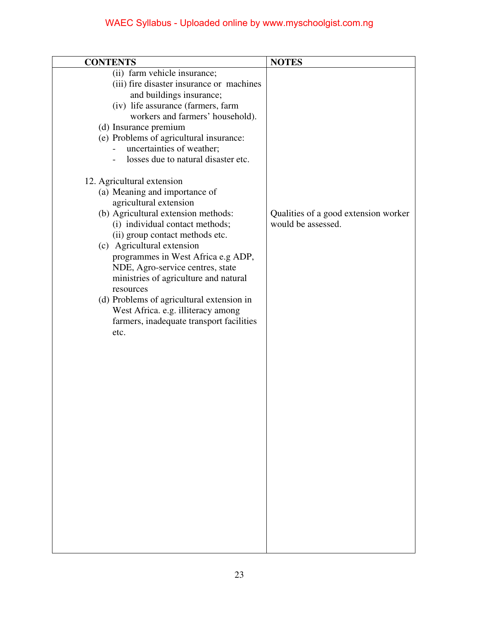| <b>CONTENTS</b>                                                                                                                                                                                                                                                                                                                                                                                                                                                                                         | <b>NOTES</b>                                               |
|---------------------------------------------------------------------------------------------------------------------------------------------------------------------------------------------------------------------------------------------------------------------------------------------------------------------------------------------------------------------------------------------------------------------------------------------------------------------------------------------------------|------------------------------------------------------------|
| (ii) farm vehicle insurance;<br>(iii) fire disaster insurance or machines<br>and buildings insurance;<br>(iv) life assurance (farmers, farm<br>workers and farmers' household).<br>(d) Insurance premium<br>(e) Problems of agricultural insurance:<br>uncertainties of weather;<br>losses due to natural disaster etc.<br>$\overline{\phantom{a}}$                                                                                                                                                     |                                                            |
| 12. Agricultural extension<br>(a) Meaning and importance of<br>agricultural extension<br>(b) Agricultural extension methods:<br>(i) individual contact methods;<br>(ii) group contact methods etc.<br>(c) Agricultural extension<br>programmes in West Africa e.g ADP,<br>NDE, Agro-service centres, state<br>ministries of agriculture and natural<br>resources<br>(d) Problems of agricultural extension in<br>West Africa. e.g. illiteracy among<br>farmers, inadequate transport facilities<br>etc. | Qualities of a good extension worker<br>would be assessed. |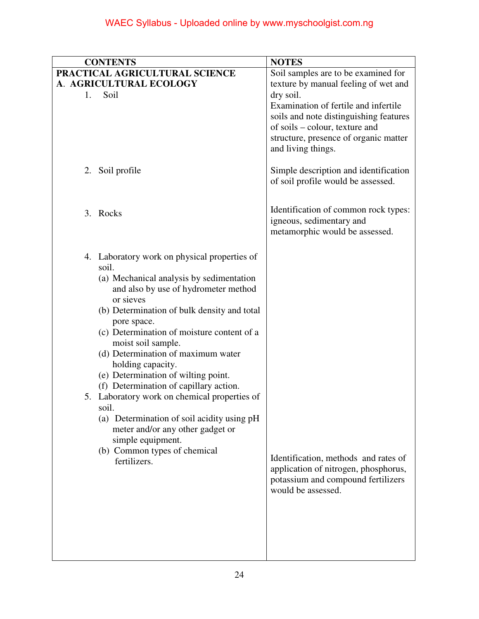| <b>CONTENTS</b>                                                                                                                                                                                                                                                                                                                                                                                                                                                                                                                                                                                                                                      | <b>NOTES</b>                                                                                                                                                                                                                                                                |
|------------------------------------------------------------------------------------------------------------------------------------------------------------------------------------------------------------------------------------------------------------------------------------------------------------------------------------------------------------------------------------------------------------------------------------------------------------------------------------------------------------------------------------------------------------------------------------------------------------------------------------------------------|-----------------------------------------------------------------------------------------------------------------------------------------------------------------------------------------------------------------------------------------------------------------------------|
| PRACTICAL AGRICULTURAL SCIENCE<br>A. AGRICULTURAL ECOLOGY<br>Soil<br>1.                                                                                                                                                                                                                                                                                                                                                                                                                                                                                                                                                                              | Soil samples are to be examined for<br>texture by manual feeling of wet and<br>dry soil.<br>Examination of fertile and infertile<br>soils and note distinguishing features<br>of soils – colour, texture and<br>structure, presence of organic matter<br>and living things. |
| 2. Soil profile                                                                                                                                                                                                                                                                                                                                                                                                                                                                                                                                                                                                                                      | Simple description and identification<br>of soil profile would be assessed.                                                                                                                                                                                                 |
| 3. Rocks                                                                                                                                                                                                                                                                                                                                                                                                                                                                                                                                                                                                                                             | Identification of common rock types:<br>igneous, sedimentary and<br>metamorphic would be assessed.                                                                                                                                                                          |
| 4. Laboratory work on physical properties of<br>soil.<br>(a) Mechanical analysis by sedimentation<br>and also by use of hydrometer method<br>or sieves<br>(b) Determination of bulk density and total<br>pore space.<br>(c) Determination of moisture content of a<br>moist soil sample.<br>(d) Determination of maximum water<br>holding capacity.<br>(e) Determination of wilting point.<br>(f) Determination of capillary action.<br>5. Laboratory work on chemical properties of<br>soil.<br>(a) Determination of soil acidity using pH<br>meter and/or any other gadget or<br>simple equipment.<br>(b) Common types of chemical<br>fertilizers. | Identification, methods and rates of<br>application of nitrogen, phosphorus,<br>potassium and compound fertilizers<br>would be assessed.                                                                                                                                    |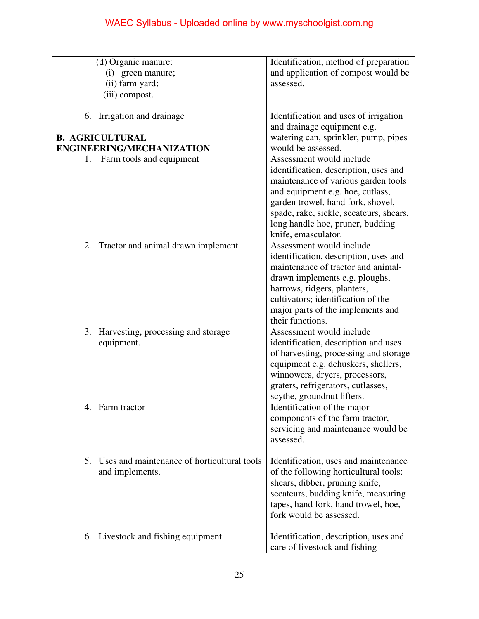|                                  | (d) Organic manure:<br>(i) green manure;<br>(ii) farm yard;    | Identification, method of preparation<br>and application of compost would be<br>assessed.                                                                                                                                                                               |
|----------------------------------|----------------------------------------------------------------|-------------------------------------------------------------------------------------------------------------------------------------------------------------------------------------------------------------------------------------------------------------------------|
|                                  | (iii) compost.                                                 |                                                                                                                                                                                                                                                                         |
| 6.                               | Irrigation and drainage                                        | Identification and uses of irrigation<br>and drainage equipment e.g.                                                                                                                                                                                                    |
|                                  | <b>B. AGRICULTURAL</b>                                         | watering can, sprinkler, pump, pipes                                                                                                                                                                                                                                    |
| <b>ENGINEERING/MECHANIZATION</b> |                                                                | would be assessed.                                                                                                                                                                                                                                                      |
| 1.                               | Farm tools and equipment                                       | Assessment would include                                                                                                                                                                                                                                                |
|                                  |                                                                | identification, description, uses and<br>maintenance of various garden tools<br>and equipment e.g. hoe, cutlass,<br>garden trowel, hand fork, shovel,<br>spade, rake, sickle, secateurs, shears,<br>long handle hoe, pruner, budding<br>knife, emasculator.             |
|                                  | 2. Tractor and animal drawn implement                          | Assessment would include<br>identification, description, uses and<br>maintenance of tractor and animal-<br>drawn implements e.g. ploughs,<br>harrows, ridgers, planters,<br>cultivators; identification of the<br>major parts of the implements and<br>their functions. |
| 3.                               | Harvesting, processing and storage<br>equipment.               | Assessment would include<br>identification, description and uses<br>of harvesting, processing and storage<br>equipment e.g. dehuskers, shellers,<br>winnowers, dryers, processors,<br>graters, refrigerators, cutlasses,<br>scythe, groundnut lifters.                  |
| 4.                               | Farm tractor                                                   | Identification of the major<br>components of the farm tractor,<br>servicing and maintenance would be<br>assessed.                                                                                                                                                       |
| 5.                               | Uses and maintenance of horticultural tools<br>and implements. | Identification, uses and maintenance<br>of the following horticultural tools:<br>shears, dibber, pruning knife,<br>secateurs, budding knife, measuring<br>tapes, hand fork, hand trowel, hoe,<br>fork would be assessed.                                                |
|                                  | 6. Livestock and fishing equipment                             | Identification, description, uses and<br>care of livestock and fishing                                                                                                                                                                                                  |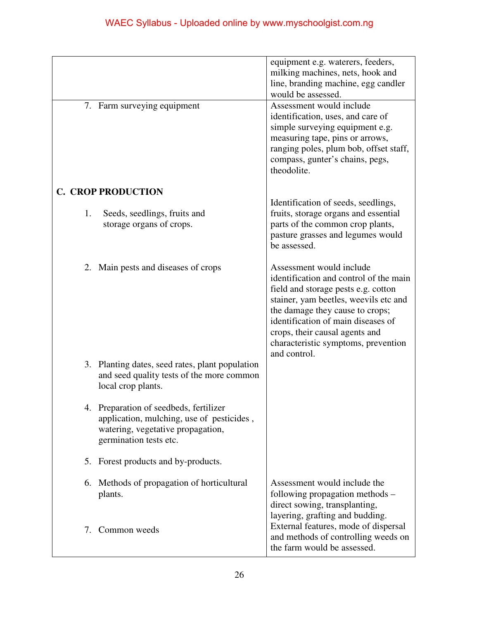|                           | 7. Farm surveying equipment                                                                                                                        | equipment e.g. waterers, feeders,<br>milking machines, nets, hook and<br>line, branding machine, egg candler<br>would be assessed.<br>Assessment would include<br>identification, uses, and care of<br>simple surveying equipment e.g.<br>measuring tape, pins or arrows,<br>ranging poles, plum bob, offset staff,<br>compass, gunter's chains, pegs, |
|---------------------------|----------------------------------------------------------------------------------------------------------------------------------------------------|--------------------------------------------------------------------------------------------------------------------------------------------------------------------------------------------------------------------------------------------------------------------------------------------------------------------------------------------------------|
|                           |                                                                                                                                                    | theodolite.                                                                                                                                                                                                                                                                                                                                            |
| <b>C. CROP PRODUCTION</b> |                                                                                                                                                    |                                                                                                                                                                                                                                                                                                                                                        |
| 1.                        | Seeds, seedlings, fruits and<br>storage organs of crops.                                                                                           | Identification of seeds, seedlings,<br>fruits, storage organs and essential<br>parts of the common crop plants,<br>pasture grasses and legumes would<br>be assessed.                                                                                                                                                                                   |
|                           | 2. Main pests and diseases of crops                                                                                                                | Assessment would include<br>identification and control of the main<br>field and storage pests e.g. cotton<br>stainer, yam beetles, weevils etc and<br>the damage they cause to crops;<br>identification of main diseases of<br>crops, their causal agents and<br>characteristic symptoms, prevention<br>and control.                                   |
| local crop plants.        | 3. Planting dates, seed rates, plant population<br>and seed quality tests of the more common                                                       |                                                                                                                                                                                                                                                                                                                                                        |
|                           | 4. Preparation of seedbeds, fertilizer<br>application, mulching, use of pesticides,<br>watering, vegetative propagation,<br>germination tests etc. |                                                                                                                                                                                                                                                                                                                                                        |
|                           | 5. Forest products and by-products.                                                                                                                |                                                                                                                                                                                                                                                                                                                                                        |
| plants.                   | 6. Methods of propagation of horticultural                                                                                                         | Assessment would include the<br>following propagation methods –<br>direct sowing, transplanting,<br>layering, grafting and budding.                                                                                                                                                                                                                    |
| Common weeds<br>7.        |                                                                                                                                                    | External features, mode of dispersal<br>and methods of controlling weeds on<br>the farm would be assessed.                                                                                                                                                                                                                                             |